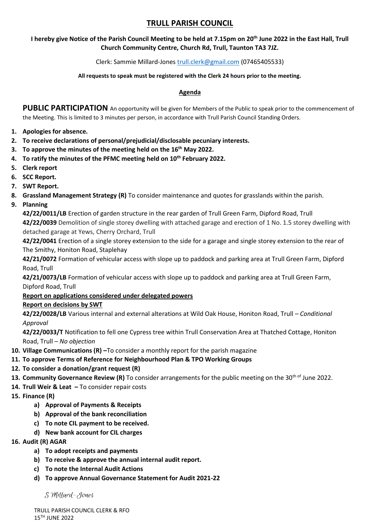# **TRULL PARISH COUNCIL**

# **I hereby give Notice of the Parish Council Meeting to be held at 7.15pm on 20th June 2022 in the East Hall, Trull Church Community Centre, Church Rd, Trull, Taunton TA3 7JZ.**

Clerk: Sammie Millard-Jones [trull.clerk@gmail.com](mailto:trull.clerk@gmail.com) (07465405533)

#### **All requests to speak must be registered with the Clerk 24 hours prior to the meeting.**

#### **Agenda**

PUBLIC PARTICIPATION An opportunity will be given for Members of the Public to speak prior to the commencement of the Meeting. This is limited to 3 minutes per person, in accordance with Trull Parish Council Standing Orders.

- **1. Apologies for absence.**
- **2. To receive declarations of personal/prejudicial/disclosable pecuniary interests.**
- **3. To approve the minutes of the meeting held on the 16th May 2022.**
- **4. To ratify the minutes of the PFMC meeting held on 10th February 2022.**
- **5. Clerk report**
- **6. SCC Report.**
- **7. SWT Report.**
- **8. Grassland Management Strategy (R)** To consider maintenance and quotes for grasslands within the parish.
- **9. Planning**

**42/22/0011/LB** Erection of garden structure in the rear garden of Trull Green Farm, Dipford Road, Trull

**42/22/0039** Demolition of single storey dwelling with attached garage and erection of 1 No. 1.5 storey dwelling with detached garage at Yews, Cherry Orchard, Trull

**42/22/0041** Erection of a single storey extension to the side for a garage and single storey extension to the rear of The Smithy, Honiton Road, Staplehay

**42/21/0072** Formation of vehicular access with slope up to paddock and parking area at Trull Green Farm, Dipford Road, Trull

**42/21/0073/LB** Formation of vehicular access with slope up to paddock and parking area at Trull Green Farm, Dipford Road, Trull

# **Report on applications considered under delegated powers**

# **Report on decisions by SWT**

**42/22/0028/LB** Various internal and external alterations at Wild Oak House, Honiton Road, Trull *– Conditional Approval*

**42/22/0033/T** Notification to fell one Cypress tree within Trull Conservation Area at Thatched Cottage, Honiton Road, Trull – *No objection*

**10. Village Communications (R) –**To consider a monthly report for the parish magazine

# **11. To approve Terms of Reference for Neighbourhood Plan & TPO Working Groups**

- **12. To consider a donation/grant request (R)**
- **13. Community Governance Review (R)** To consider arrangements for the public meeting on the 30<sup>th of</sup> June 2022.
- **14. Trull Weir & Leat –** To consider repair costs
- **15. Finance (R)**
	- **a) Approval of Payments & Receipts**
	- **b) Approval of the bank reconciliation**
	- **c) To note CIL payment to be received.**
	- **d) New bank account for CIL charges**
- **16. Audit (R) AGAR** 
	- **a) To adopt receipts and payments**
	- **b) To receive & approve the annual internal audit report.**
	- **c) To note the Internal Audit Actions**
	- **d) To approve Annual Governance Statement for Audit 2021-22**

S Millard-Jones

TRULL PARISH COUNCIL CLERK & RFO 15TH JUNE 2022